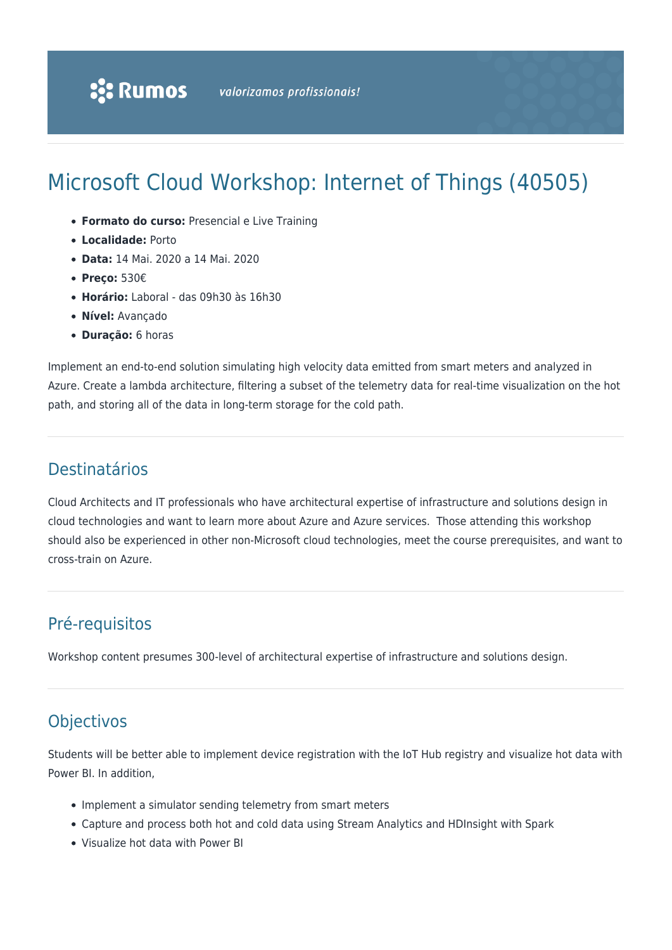# Microsoft Cloud Workshop: Internet of Things (40505)

- **Formato do curso:** Presencial e Live Training
- **Localidade:** Porto
- **Data:** 14 Mai. 2020 a 14 Mai. 2020
- **Preço:** 530€
- **Horário:** Laboral das 09h30 às 16h30
- **Nível:** Avançado
- **Duração:** 6 horas

Implement an end-to-end solution simulating high velocity data emitted from smart meters and analyzed in Azure. Create a lambda architecture, filtering a subset of the telemetry data for real-time visualization on the hot path, and storing all of the data in long-term storage for the cold path.

# Destinatários

Cloud Architects and IT professionals who have architectural expertise of infrastructure and solutions design in cloud technologies and want to learn more about Azure and Azure services. Those attending this workshop should also be experienced in other non-Microsoft cloud technologies, meet the course prerequisites, and want to cross-train on Azure.

# Pré-requisitos

Workshop content presumes 300-level of architectural expertise of infrastructure and solutions design.

## **Objectivos**

Students will be better able to implement device registration with the IoT Hub registry and visualize hot data with Power BI. In addition,

- Implement a simulator sending telemetry from smart meters
- Capture and process both hot and cold data using Stream Analytics and HDInsight with Spark
- Visualize hot data with Power BI